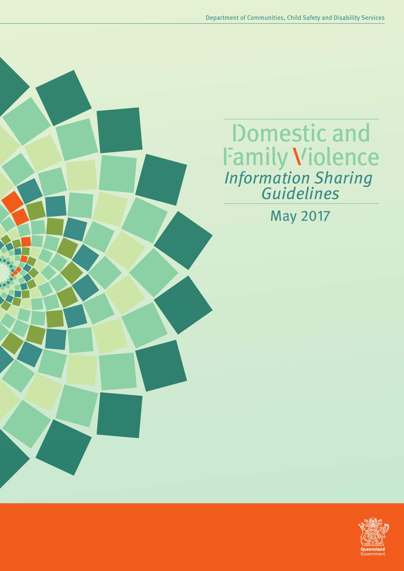**Domestic and Family Violence**<br>Information Sharing<br>Guidelines

May 2017

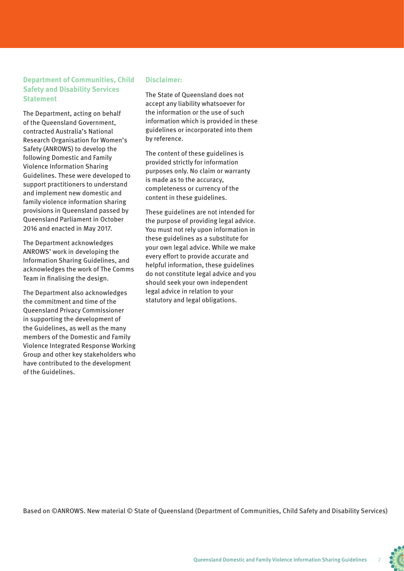#### **Department of Communities, Child Safety and Disability Services Statement**

The Department, acting on behalf of the Queensland Government, contracted Australia's National Research Organisation for Women's Safety (ANROWS) to develop the following Domestic and Family Violence Information Sharing Guidelines. These were developed to support practitioners to understand and implement new domestic and family violence information sharing provisions in Queensland passed by Queensland Parliament in October 2016 and enacted in May 2017.

The Department acknowledges ANROWS' work in developing the Information Sharing Guidelines, and acknowledges the work of The Comms Team in finalising the design.

The Department also acknowledges the commitment and time of the Queensland Privacy Commissioner in supporting the development of the Guidelines, as well as the many members of the Domestic and Family Violence Integrated Response Working Group and other key stakeholders who have contributed to the development of the Guidelines.

#### **Disclaimer:**

The State of Queensland does not accept any liability whatsoever for the information or the use of such information which is provided in these guidelines or incorporated into them by reference.

The content of these guidelines is provided strictly for information purposes only. No claim or warranty is made as to the accuracy, completeness or currency of the content in these guidelines.

These guidelines are not intended for the purpose of providing legal advice. You must not rely upon information in these guidelines as a substitute for your own legal advice. While we make every effort to provide accurate and helpful information, these guidelines do not constitute legal advice and you should seek your own independent legal advice in relation to your statutory and legal obligations.

Based on ©ANROWS. New material © State of Queensland (Department of Communities, Child Safety and Disability Services)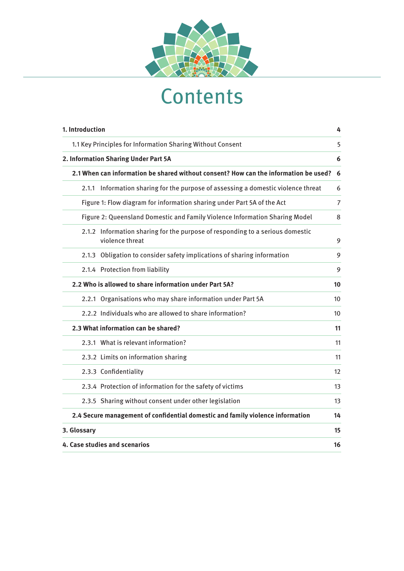

# **Contents**

| 1. Introduction                                                                                  | 4              |
|--------------------------------------------------------------------------------------------------|----------------|
| 1.1 Key Principles for Information Sharing Without Consent                                       | 5              |
| 2. Information Sharing Under Part 5A                                                             | 6              |
| 2.1 When can information be shared without consent? How can the information be used?             | 6              |
| 2.1.1 Information sharing for the purpose of assessing a domestic violence threat                | 6              |
| Figure 1: Flow diagram for information sharing under Part 5A of the Act                          | $\overline{7}$ |
| Figure 2: Queensland Domestic and Family Violence Information Sharing Model                      | 8              |
| 2.1.2 Information sharing for the purpose of responding to a serious domestic<br>violence threat | 9              |
| 2.1.3 Obligation to consider safety implications of sharing information                          | 9              |
| 2.1.4 Protection from liability                                                                  | 9              |
| 2.2 Who is allowed to share information under Part 5A?                                           | 10             |
| 2.2.1 Organisations who may share information under Part 5A                                      | 10             |
| 2.2.2 Individuals who are allowed to share information?                                          | 10             |
| 2.3 What information can be shared?                                                              | 11             |
| 2.3.1 What is relevant information?                                                              | 11             |
| 2.3.2 Limits on information sharing                                                              | 11             |
| 2.3.3 Confidentiality                                                                            | 12             |
| 2.3.4 Protection of information for the safety of victims                                        | 13             |
| 2.3.5 Sharing without consent under other legislation                                            | 13             |
| 2.4 Secure management of confidential domestic and family violence information                   | 14             |
| 3. Glossary                                                                                      | 15             |
| 4. Case studies and scenarios                                                                    | 16             |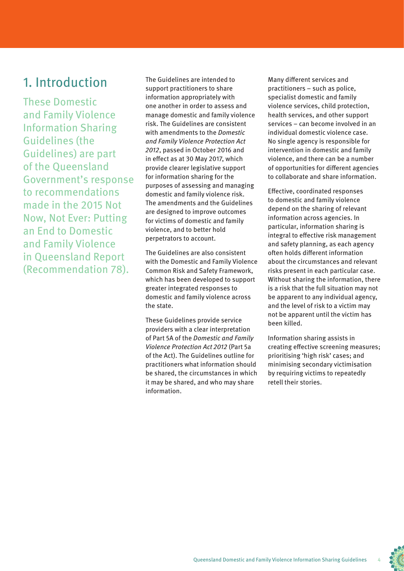## 1. Introduction

These Domestic and Family Violence Information Sharing Guidelines (the Guidelines) are part of the Queensland Government's response to recommendations made in the 2015 Not Now, Not Ever: Putting an End to Domestic and Family Violence in Queensland Report (Recommendation 78).

The Guidelines are intended to support practitioners to share information appropriately with one another in order to assess and manage domestic and family violence risk. The Guidelines are consistent with amendments to the *Domestic* and Family Violence Protection Act 2012, passed in October 2016 and in effect as at 30 May 2017, which provide clearer legislative support for information sharing for the purposes of assessing and managing domestic and family violence risk. The amendments and the Guidelines are designed to improve outcomes for victims of domestic and family violence, and to better hold perpetrators to account.

The Guidelines are also consistent with the Domestic and Family Violence Common Risk and Safety Framework, which has been developed to support greater integrated responses to domestic and family violence across the state.

These Guidelines provide service providers with a clear interpretation of Part 5A of the Domestic and Family Violence Protection Act 2012 (Part 5a of the Act). The Guidelines outline for practitioners what information should be shared, the circumstances in which it may be shared, and who may share information.

Many different services and practitioners – such as police, specialist domestic and family violence services, child protection, health services, and other support services – can become involved in an individual domestic violence case. No single agency is responsible for intervention in domestic and family violence, and there can be a number of opportunities for different agencies to collaborate and share information.

Effective, coordinated responses to domestic and family violence depend on the sharing of relevant information across agencies. In particular, information sharing is integral to effective risk management and safety planning, as each agency often holds different information about the circumstances and relevant risks present in each particular case. Without sharing the information, there is a risk that the full situation may not be apparent to any individual agency, and the level of risk to a victim may not be apparent until the victim has been killed.

Information sharing assists in creating effective screening measures; prioritising 'high risk' cases; and minimising secondary victimisation by requiring victims to repeatedly retell their stories.

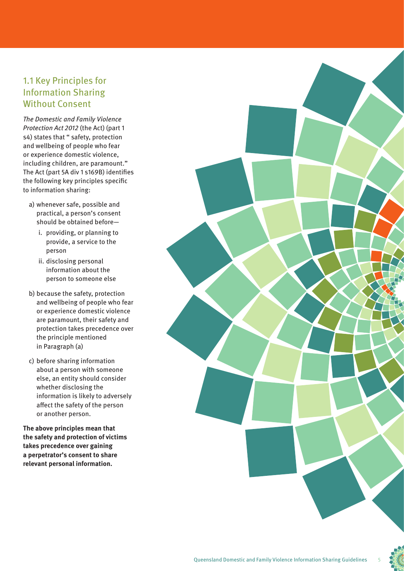#### 1.1 Key Principles for Information Sharing Without Consent

The Domestic and Family Violence Protection Act 2012 (the Act) (part 1 s4) states that " safety, protection and wellbeing of people who fear or experience domestic violence, including children, are paramount." The Act (part 5A div 1 s169B) identifies the following key principles specific to information sharing:

- a) whenever safe, possible and practical, a person's consent should be obtained before
	- i. providing, or planning to provide, a service to the person
	- ii. disclosing personal information about the person to someone else
- b) because the safety, protection and wellbeing of people who fear or experience domestic violence are paramount, their safety and protection takes precedence over the principle mentioned in Paragraph (a)
- c) before sharing information about a person with someone else, an entity should consider whether disclosing the information is likely to adversely affect the safety of the person or another person.

**The above principles mean that the safety and protection of victims takes precedence over gaining a perpetrator's consent to share relevant personal information.**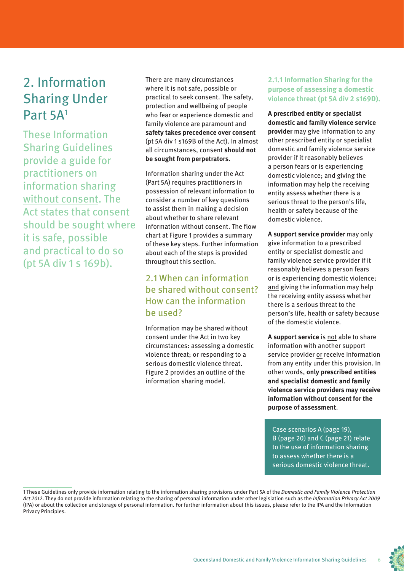# 2. Information Sharing Under Part 5A1

These Information Sharing Guidelines provide a guide for practitioners on information sharing without consent. The Act states that consent should be sought where it is safe, possible and practical to do so (pt 5A div 1 s 169b).

There are many circumstances where it is not safe, possible or practical to seek consent. The safety, protection and wellbeing of people who fear or experience domestic and family violence are paramount and **safety takes precedence over consent** (pt 5A div 1 s169B of the Act). In almost all circumstances, consent **should not be sought from perpetrators**.

Information sharing under the Act (Part 5A) requires practitioners in possession of relevant information to consider a number of key questions to assist them in making a decision about whether to share relevant information without consent. The flow chart at Figure 1 provides a summary of these key steps. Further information about each of the steps is provided throughout this section.

#### 2.1 When can information be shared without consent? How can the information be used?

Information may be shared without consent under the Act in two key circumstances: assessing a domestic violence threat; or responding to a serious domestic violence threat. Figure 2 provides an outline of the information sharing model.

#### **2.1.1 Information Sharing for the purpose of assessing a domestic violence threat (pt 5A div 2 s169D).**

**A prescribed entity or specialist domestic and family violence service provider** may give information to any other prescribed entity or specialist domestic and family violence service provider if it reasonably believes a person fears or is experiencing domestic violence; and giving the information may help the receiving entity assess whether there is a serious threat to the person's life, health or safety because of the domestic violence.

**A support service provider** may only give information to a prescribed entity or specialist domestic and family violence service provider if it reasonably believes a person fears or is experiencing domestic violence; and giving the information may help the receiving entity assess whether there is a serious threat to the person's life, health or safety because of the domestic violence.

**A support service** is not able to share information with another support service provider or receive information from any entity under this provision. In other words, **only prescribed entities and specialist domestic and family violence service providers may receive information without consent for the purpose of assessment**.

Case scenarios A (page 19), B (page 20) and C (page 21) relate to the use of information sharing to assess whether there is a serious domestic violence threat.

1 These Guidelines only provide information relating to the information sharing provisions under Part 5A of the Domestic and Family Violence Protection Act 2012. They do not provide information relating to the sharing of personal information under other legislation such as the Information Privacy Act 2009 (IPA) or about the collection and storage of personal information. For further information about this issues, please refer to the IPA and the Information Privacy Principles.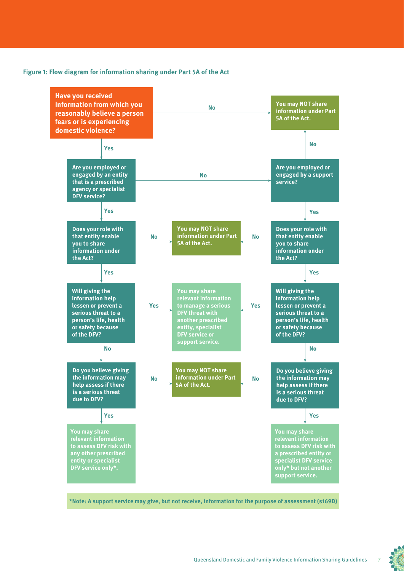#### **Figure 1: Flow diagram for information sharing under Part 5A of the Act**



**\*Note: A support service may give, but not receive, information for the purpose of assessment (s169D)**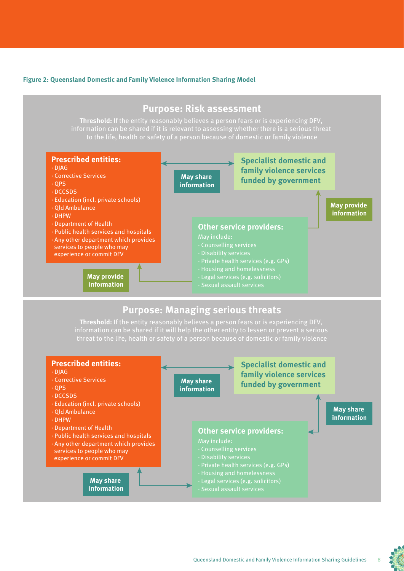#### **Figure 2: Queensland Domestic and Family Violence Information Sharing Model**



#### **Purpose: Managing serious threats**

**Threshold:** If the entity reasonably believes a person fears or is experiencing DFV, information can be shared if it will help the other entity to lessen or prevent a serious

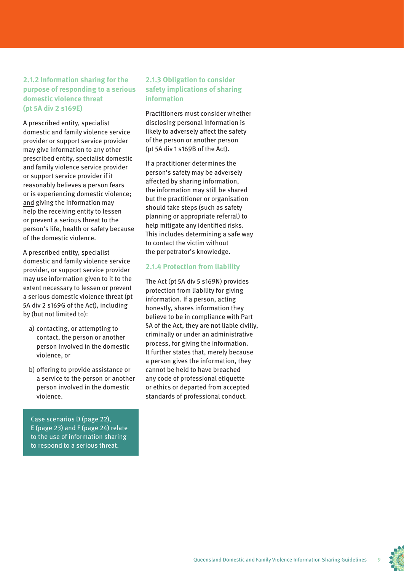#### **2.1.2 Information sharing for the purpose of responding to a serious domestic violence threat (pt 5A div 2 s169E)**

A prescribed entity, specialist domestic and family violence service provider or support service provider may give information to any other prescribed entity, specialist domestic and family violence service provider or support service provider if it reasonably believes a person fears or is experiencing domestic violence; and giving the information may help the receiving entity to lessen or prevent a serious threat to the person's life, health or safety because of the domestic violence.

A prescribed entity, specialist domestic and family violence service provider, or support service provider may use information given to it to the extent necessary to lessen or prevent a serious domestic violence threat (pt 5A div 2 s169G of the Act), including by (but not limited to):

- a) contacting, or attempting to contact, the person or another person involved in the domestic violence, or
- b) offering to provide assistance or a service to the person or another person involved in the domestic violence.

Case scenarios D (page 22), E (page 23) and F (page 24) relate to the use of information sharing to respond to a serious threat.

#### **2.1.3 Obligation to consider safety implications of sharing information**

Practitioners must consider whether disclosing personal information is likely to adversely affect the safety of the person or another person (pt 5A div 1 s169B of the Act).

If a practitioner determines the person's safety may be adversely affected by sharing information, the information may still be shared but the practitioner or organisation should take steps (such as safety planning or appropriate referral) to help mitigate any identified risks. This includes determining a safe way to contact the victim without the perpetrator's knowledge.

#### **2.1.4 Protection from liability**

The Act (pt 5A div 5 s169N) provides protection from liability for giving information. If a person, acting honestly, shares information they believe to be in compliance with Part 5A of the Act, they are not liable civilly, criminally or under an administrative process, for giving the information. It further states that, merely because a person gives the information, they cannot be held to have breached any code of professional etiquette or ethics or departed from accepted standards of professional conduct.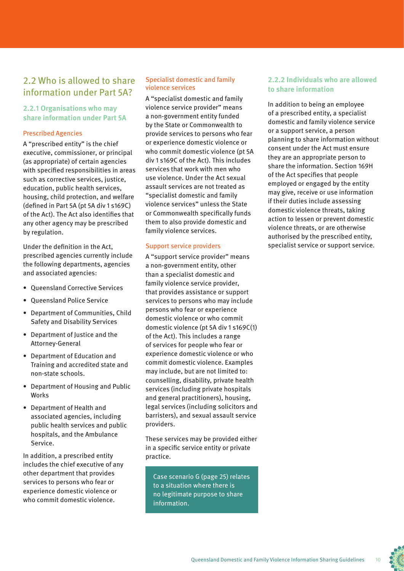#### 2.2 Who is allowed to share information under Part 5A?

#### **2.2.1 Organisations who may share information under Part 5A**

#### Prescribed Agencies

A "prescribed entity" is the chief executive, commissioner, or principal (as appropriate) of certain agencies with specified responsibilities in areas such as corrective services, justice, education, public health services, housing, child protection, and welfare (defined in Part 5A (pt 5A div 1 s169C) of the Act). The Act also identifies that any other agency may be prescribed by regulation.

Under the definition in the Act, prescribed agencies currently include the following departments, agencies and associated agencies:

- Queensland Corrective Services
- Queensland Police Service
- Department of Communities, Child Safety and Disability Services
- Department of Justice and the Attorney-General
- Department of Education and Training and accredited state and non-state schools.
- Department of Housing and Public Works
- Department of Health and associated agencies, including public health services and public hospitals, and the Ambulance Service.

In addition, a prescribed entity includes the chief executive of any other department that provides services to persons who fear or experience domestic violence or who commit domestic violence.

#### Specialist domestic and family violence services

A "specialist domestic and family violence service provider" means a non-government entity funded by the State or Commonwealth to provide services to persons who fear or experience domestic violence or who commit domestic violence (pt 5A div 1 s169C of the Act). This includes services that work with men who use violence. Under the Act sexual assault services are not treated as "specialist domestic and family violence services" unless the State or Commonwealth specifically funds them to also provide domestic and family violence services.

#### Support service providers

A "support service provider" means a non-government entity, other than a specialist domestic and family violence service provider, that provides assistance or support services to persons who may include persons who fear or experience domestic violence or who commit domestic violence (pt 5A div 1 s169C(1) of the Act). This includes a range of services for people who fear or experience domestic violence or who commit domestic violence. Examples may include, but are not limited to: counselling, disability, private health services (including private hospitals and general practitioners), housing, legal services (including solicitors and barristers), and sexual assault service providers.

These services may be provided either in a specific service entity or private practice.

Case scenario G (page 25) relates to a situation where there is no legitimate purpose to share information.

#### **2.2.2 Individuals who are allowed to share information**

In addition to being an employee of a prescribed entity, a specialist domestic and family violence service or a support service, a person planning to share information without consent under the Act must ensure they are an appropriate person to share the information. Section 169H of the Act specifies that people employed or engaged by the entity may give, receive or use information if their duties include assessing domestic violence threats, taking action to lessen or prevent domestic violence threats, or are otherwise authorised by the prescribed entity, specialist service or support service.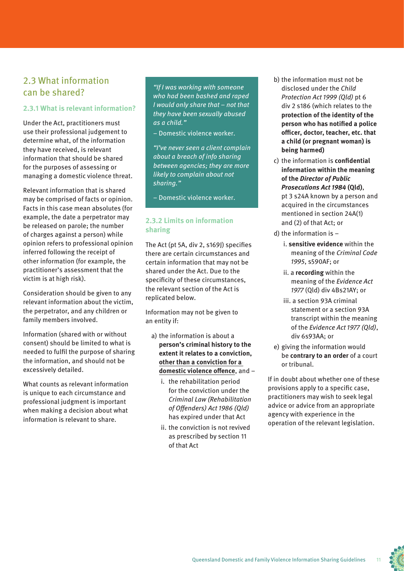#### 2.3 What information can be shared?

#### **2.3.1 What is relevant information?**

Under the Act, practitioners must use their professional judgement to determine what, of the information they have received, is relevant information that should be shared for the purposes of assessing or managing a domestic violence threat.

Relevant information that is shared may be comprised of facts or opinion. Facts in this case mean absolutes (for example, the date a perpetrator may be released on parole; the number of charges against a person) while opinion refers to professional opinion inferred following the receipt of other information (for example, the practitioner's assessment that the victim is at high risk).

Consideration should be given to any relevant information about the victim, the perpetrator, and any children or family members involved.

Information (shared with or without consent) should be limited to what is needed to fulfil the purpose of sharing the information, and should not be excessively detailed.

What counts as relevant information is unique to each circumstance and professional judgment is important when making a decision about what information is relevant to share.

"If I was working with someone who had been bashed and raped I would only share that – not that they have been sexually abused as a child."

– Domestic violence worker.

"I've never seen a client complain about a breach of info sharing between agencies; they are more likely to complain about not sharing."

– Domestic violence worker.

#### **2.3.2 Limits on information sharing**

The Act (pt 5A, div 2, s169J) specifies there are certain circumstances and certain information that may not be shared under the Act. Due to the specificity of these circumstances, the relevant section of the Act is replicated below.

Information may not be given to an entity if:

- a) the information is about a **person's criminal history to the extent it relates to a conviction, other than a conviction for a domestic violence offence**, and –
	- i. the rehabilitation period for the conviction under the Criminal Law (Rehabilitation of Offenders) Act 1986 (Qld) has expired under that Act
	- ii. the conviction is not revived as prescribed by section 11 of that Act
- b) the information must not be disclosed under the Child Protection Act 1999 (Qld) pt 6 div 2 s186 (which relates to the **protection of the identity of the person who has notified a police officer, doctor, teacher, etc. that a child (or pregnant woman) is being harmed)**
- c) the information is **confidential information within the meaning of the Director of Public Prosecutions Act 1984 (Qld)**, pt 3 s24A known by a person and acquired in the circumstances mentioned in section 24A(1) and (2) of that Act; or
- d) the information is
	- i. **sensitive evidence** within the meaning of the Criminal Code 1995, s590AF; or
	- ii. a **recording** within the meaning of the Evidence Act 1977 (Qld) div 4Bs21AY; or
	- iii. a section 93A criminal statement or a section 93A transcript within the meaning of the Evidence Act 1977 (Qld), div 6s93AA; or
- e) giving the information would be **contrary to an order** of a court or tribunal.

If in doubt about whether one of these provisions apply to a specific case, practitioners may wish to seek legal advice or advice from an appropriate agency with experience in the operation of the relevant legislation.

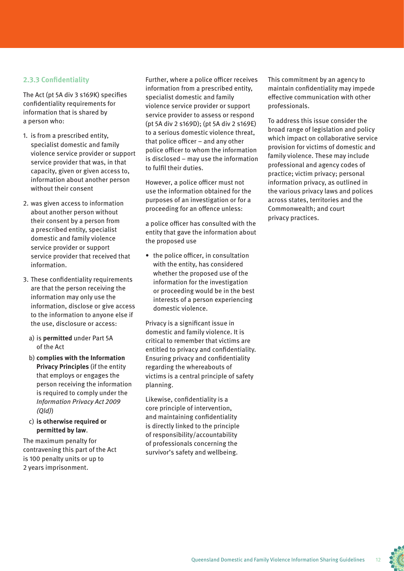#### **2.3.3 Confidentiality**

The Act (pt 5A div 3 s169K) specifies confidentiality requirements for information that is shared by a person who:

- 1. is from a prescribed entity, specialist domestic and family violence service provider or support service provider that was, in that capacity, given or given access to, information about another person without their consent
- 2. was given access to information about another person without their consent by a person from a prescribed entity, specialist domestic and family violence service provider or support service provider that received that information.
- 3. These confidentiality requirements are that the person receiving the information may only use the information, disclose or give access to the information to anyone else if the use, disclosure or access:
	- a) is **permitted** under Part 5A of the Act
	- b) **complies with the Information Privacy Principles** (if the entity that employs or engages the person receiving the information is required to comply under the Information Privacy Act 2009 (Qld))
	- c) **is otherwise required or permitted by law**.

The maximum penalty for contravening this part of the Act is 100 penalty units or up to 2 years imprisonment.

Further, where a police officer receives information from a prescribed entity, specialist domestic and family violence service provider or support service provider to assess or respond (pt 5A div 2 s169D); (pt 5A div 2 s169E) to a serious domestic violence threat, that police officer – and any other police officer to whom the information is disclosed – may use the information to fulfil their duties.

However, a police officer must not use the information obtained for the purposes of an investigation or for a proceeding for an offence unless:

a police officer has consulted with the entity that gave the information about the proposed use

• the police officer, in consultation with the entity, has considered whether the proposed use of the information for the investigation or proceeding would be in the best interests of a person experiencing domestic violence.

Privacy is a significant issue in domestic and family violence. It is critical to remember that victims are entitled to privacy and confidentiality. Ensuring privacy and confidentiality regarding the whereabouts of victims is a central principle of safety planning.

Likewise, confidentiality is a core principle of intervention, and maintaining confidentiality is directly linked to the principle of responsibility/accountability of professionals concerning the survivor's safety and wellbeing.

This commitment by an agency to maintain confidentiality may impede effective communication with other professionals.

To address this issue consider the broad range of legislation and policy which impact on collaborative service provision for victims of domestic and family violence. These may include professional and agency codes of practice; victim privacy; personal information privacy, as outlined in the various privacy laws and polices across states, territories and the Commonwealth; and court privacy practices.

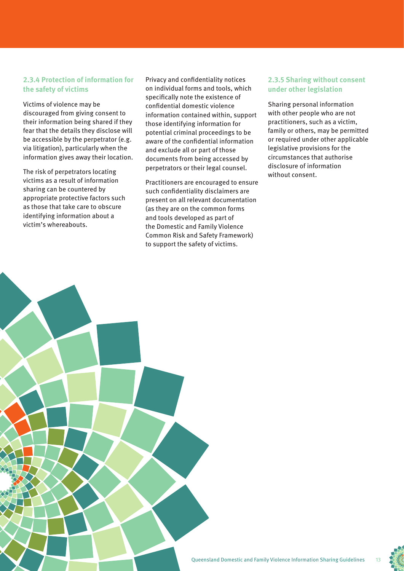#### **2.3.4 Protection of information for the safety of victims**

Victims of violence may be discouraged from giving consent to their information being shared if they fear that the details they disclose will be accessible by the perpetrator (e.g. via litigation), particularly when the information gives away their location.

The risk of perpetrators locating victims as a result of information sharing can be countered by appropriate protective factors such as those that take care to obscure identifying information about a victim's whereabouts.

Privacy and confidentiality notices on individual forms and tools, which specifically note the existence of confidential domestic violence information contained within, support those identifying information for potential criminal proceedings to be aware of the confidential information and exclude all or part of those documents from being accessed by perpetrators or their legal counsel.

Practitioners are encouraged to ensure such confidentiality disclaimers are present on all relevant documentation (as they are on the common forms and tools developed as part of the Domestic and Family Violence Common Risk and Safety Framework) to support the safety of victims.

#### **2.3.5 Sharing without consent under other legislation**

Sharing personal information with other people who are not practitioners, such as a victim, family or others, may be permitted or required under other applicable legislative provisions for the circumstances that authorise disclosure of information without consent.

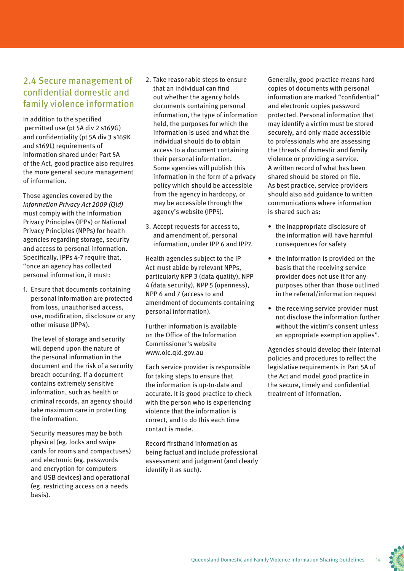#### 2.4 Secure management of confidential domestic and family violence information

In addition to the specified permitted use (pt 5A div 2 s169G) and confidentiality (pt 5A div 3 s169K and s169L) requirements of information shared under Part 5A of the Act, good practice also requires the more general secure management of information.

Those agencies covered by the Information Privacy Act 2009 (Qld) must comply with the Information Privacy Principles (IPPs) or National Privacy Principles (NPPs) for health agencies regarding storage, security and access to personal information. Specifically, IPPs 4-7 require that, "once an agency has collected personal information, it must:

1. Ensure that documents containing personal information are protected from loss, unauthorised access, use, modification, disclosure or any other misuse (IPP4).

The level of storage and security will depend upon the nature of the personal information in the document and the risk of a security breach occurring. If a document contains extremely sensitive information, such as health or criminal records, an agency should take maximum care in protecting the information.

Security measures may be both physical (eg. locks and swipe cards for rooms and compactuses) and electronic (eg. passwords and encryption for computers and USB devices) and operational (eg. restricting access on a needs basis).

- 2. Take reasonable steps to ensure that an individual can find out whether the agency holds documents containing personal information, the type of information held, the purposes for which the information is used and what the individual should do to obtain access to a document containing their personal information. Some agencies will publish this information in the form of a privacy policy which should be accessible from the agency in hardcopy, or may be accessible through the agency's website (IPP5).
- 3. Accept requests for access to, and amendment of, personal information, under IPP 6 and IPP7.

Health agencies subject to the IP Act must abide by relevant NPPs, particularly NPP 3 (data quality), NPP 4 (data security), NPP 5 (openness), NPP 6 and 7 (access to and amendment of documents containing personal information).

Further information is available on the Office of the Information Commissioner's website www.oic.qld.gov.au

Each service provider is responsible for taking steps to ensure that the information is up-to-date and accurate. It is good practice to check with the person who is experiencing violence that the information is correct, and to do this each time contact is made.

Record firsthand information as being factual and include professional assessment and judgment (and clearly identify it as such).

Generally, good practice means hard copies of documents with personal information are marked "confidential" and electronic copies password protected. Personal information that may identify a victim must be stored securely, and only made accessible to professionals who are assessing the threats of domestic and family violence or providing a service. A written record of what has been shared should be stored on file. As best practice, service providers should also add guidance to written communications where information is shared such as:

- the inappropriate disclosure of the information will have harmful consequences for safety
- the information is provided on the basis that the receiving service provider does not use it for any purposes other than those outlined in the referral/information request
- the receiving service provider must not disclose the information further without the victim's consent unless an appropriate exemption applies".

Agencies should develop their internal policies and procedures to reflect the legislative requirements in Part 5A of the Act and model good practice in the secure, timely and confidential treatment of information.

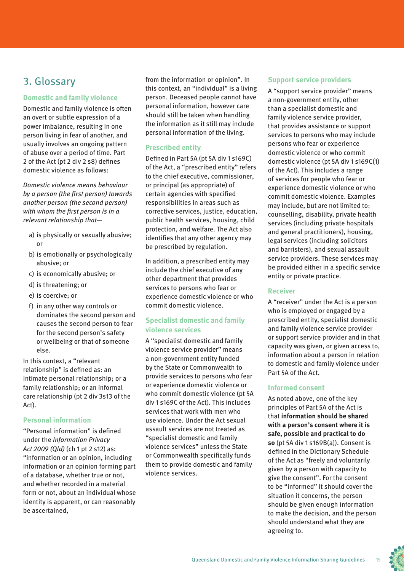### 3. Glossary

#### **Domestic and family violence**

Domestic and family violence is often an overt or subtle expression of a power imbalance, resulting in one person living in fear of another, and usually involves an ongoing pattern of abuse over a period of time. Part 2 of the Act (pt 2 div 2 s8) defines domestic violence as follows:

Domestic violence means behaviour by a person (the first person) towards another person (the second person) with whom the first person is in a relevant relationship that—

- a) is physically or sexually abusive; or
- b) is emotionally or psychologically abusive; or
- c) is economically abusive; or
- d) is threatening; or
- e) is coercive; or
- f) in any other way controls or dominates the second person and causes the second person to fear for the second person's safety or wellbeing or that of someone else.

In this context, a "relevant relationship" is defined as: an intimate personal relationship; or a family relationship; or an informal care relationship (pt 2 div 3s13 of the Act).

#### **Personal information**

"Personal information" is defined under the Information Privacy Act 2009 (Qld) (ch 1 pt 2 s12) as: "information or an opinion, including information or an opinion forming part of a database, whether true or not, and whether recorded in a material form or not, about an individual whose identity is apparent, or can reasonably be ascertained,

from the information or opinion". In this context, an "individual" is a living person. Deceased people cannot have personal information, however care should still be taken when handling the information as it still may include personal information of the living.

#### **Prescribed entity**

Defined in Part 5A (pt 5A div 1 s169C) of the Act, a "prescribed entity" refers to the chief executive, commissioner, or principal (as appropriate) of certain agencies with specified responsibilities in areas such as corrective services, justice, education, public health services, housing, child protection, and welfare. The Act also identifies that any other agency may be prescribed by regulation.

In addition, a prescribed entity may include the chief executive of any other department that provides services to persons who fear or experience domestic violence or who commit domestic violence.

#### **Specialist domestic and family violence services**

A "specialist domestic and family violence service provider" means a non-government entity funded by the State or Commonwealth to provide services to persons who fear or experience domestic violence or who commit domestic violence (pt 5A div 1 s169C of the Act). This includes services that work with men who use violence. Under the Act sexual assault services are not treated as "specialist domestic and family violence services" unless the State or Commonwealth specifically funds them to provide domestic and family violence services.

#### **Support service providers**

A "support service provider" means a non-government entity, other than a specialist domestic and family violence service provider, that provides assistance or support services to persons who may include persons who fear or experience domestic violence or who commit domestic violence (pt 5A div 1 s169C(1) of the Act). This includes a range of services for people who fear or experience domestic violence or who commit domestic violence. Examples may include, but are not limited to: counselling, disability, private health services (including private hospitals and general practitioners), housing, legal services (including solicitors and barristers), and sexual assault service providers. These services may be provided either in a specific service entity or private practice.

#### **Receiver**

A "receiver" under the Act is a person who is employed or engaged by a prescribed entity, specialist domestic and family violence service provider or support service provider and in that capacity was given, or given access to, information about a person in relation to domestic and family violence under Part 5A of the Act.

#### **Informed consent**

As noted above, one of the key principles of Part 5A of the Act is that **information should be shared with a person's consent where it is safe, possible and practical to do so** (pt 5A div 1 s169B(a)). Consent is defined in the Dictionary Schedule of the Act as "freely and voluntarily given by a person with capacity to give the consent". For the consent to be "informed" it should cover the situation it concerns, the person should be given enough information to make the decision, and the person should understand what they are agreeing to.

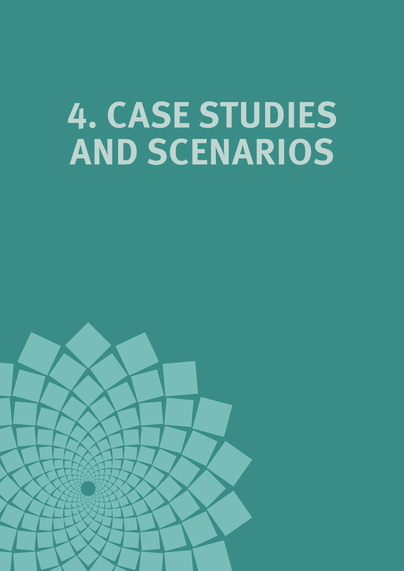# **4. CASE STUDIES AND SCENARIOS**

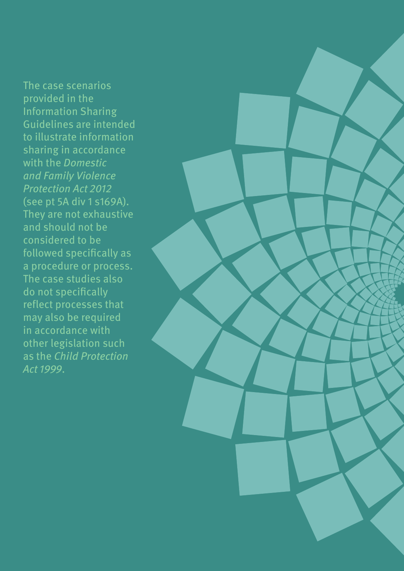The case scenarios provided in the Information Sharing Guidelines are intended to illustrate information sharing in accordance with the Domestic and Family Violence Protection Act 2012 (see pt 5A div 1 s169A). They are not exhaustive and should not be considered to be followed specifically as a procedure or process. The case studies also do not specifically reflect processes that may also be required in accordance with other legislation such as the Child Protection Act 1999.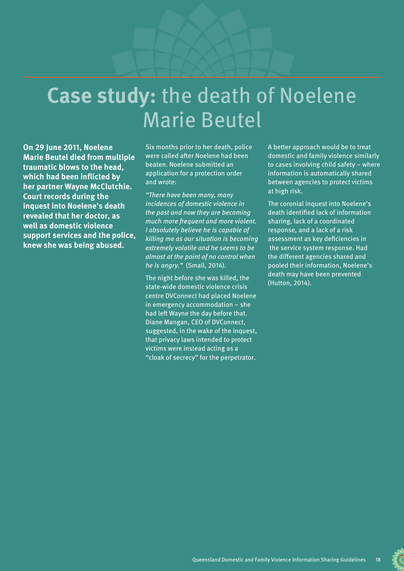# **Case study:** the death of Noelene Marie Beutel

**On 29 June 2011, Noelene Marie Beutel died from multiple traumatic blows to the head, which had been inflicted by her partner Wayne McClutchie. Court records during the inquest into Noelene's death revealed that her doctor, as well as domestic violence support services and the police, knew she was being abused.** 

Six months prior to her death, police were called after Noelene had been beaten. Noelene submitted an application for a protection order and wrote:

"There have been many, many incidences of domestic violence in the past and now they are becoming much more frequent and more violent. I absolutely believe he is capable of killing me as our situation is becoming extremely volatile and he seems to be almost at the point of no control when he is angry." (Smail, 2014).

The night before she was killed, the state-wide domestic violence crisis centre DVConnect had placed Noelene in emergency accommodation – she had left Wayne the day before that. Diane Mangan, CEO of DVConnect, suggested, in the wake of the inquest, that privacy laws intended to protect victims were instead acting as a "cloak of secrecy" for the perpetrator.

A better approach would be to treat domestic and family violence similarly to cases involving child safety – where information is automatically shared between agencies to protect victims at high risk.

The coronial inquest into Noelene's death identified lack of information sharing, lack of a coordinated response, and a lack of a risk assessment as key deficiencies in the service system response. Had the different agencies shared and pooled their information, Noelene's death may have been prevented (Hutton, 2014).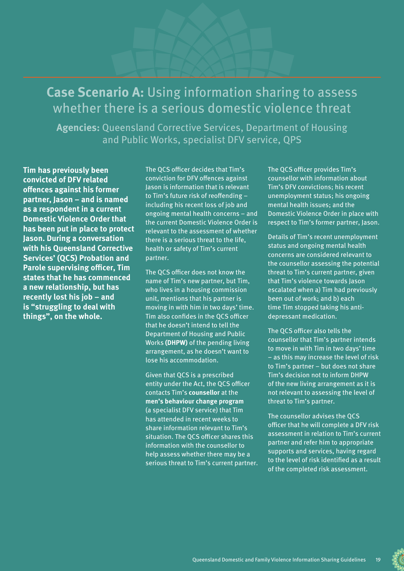# **Case Scenario A:** Using information sharing to assess whether there is a serious domestic violence threat

**Agencies:** Queensland Corrective Services, Department of Housing and Public Works, specialist DFV service, QPS

**Tim has previously been convicted of DFV related offences against his former partner, Jason – and is named as a respondent in a current Domestic Violence Order that has been put in place to protect Jason. During a conversation with his Queensland Corrective Services' (QCS) Probation and Parole supervising officer, Tim states that he has commenced a new relationship, but has recently lost his job – and is "struggling to deal with things", on the whole.** 

The QCS officer decides that Tim's conviction for DFV offences against Jason is information that is relevant to Tim's future risk of reoffending – including his recent loss of job and ongoing mental health concerns – and the current Domestic Violence Order is relevant to the assessment of whether there is a serious threat to the life, health or safety of Tim's current partner.

The QCS officer does not know the name of Tim's new partner, but Tim, who lives in a housing commission unit, mentions that his partner is moving in with him in two days' time. Tim also confides in the QCS officer that he doesn't intend to tell the Department of Housing and Public Works **(DHPW)** of the pending living arrangement, as he doesn't want to lose his accommodation.

Given that QCS is a prescribed entity under the Act, the QCS officer contacts Tim's **counsellor** at the **men's behaviour change program** (a specialist DFV service) that Tim has attended in recent weeks to share information relevant to Tim's situation. The QCS officer shares this information with the counsellor to help assess whether there may be a serious threat to Tim's current partner. The QCS officer provides Tim's counsellor with information about Tim's DFV convictions; his recent unemployment status; his ongoing mental health issues; and the Domestic Violence Order in place with respect to Tim's former partner, Jason.

Details of Tim's recent unemployment status and ongoing mental health concerns are considered relevant to the counsellor assessing the potential threat to Tim's current partner, given that Tim's violence towards Jason escalated when a) Tim had previously been out of work; and b) each time Tim stopped taking his antidepressant medication.

The QCS officer also tells the counsellor that Tim's partner intends to move in with Tim in two days' time – as this may increase the level of risk to Tim's partner – but does not share Tim's decision not to inform DHPW of the new living arrangement as it is not relevant to assessing the level of threat to Tim's partner.

The counsellor advises the QCS officer that he will complete a DFV risk assessment in relation to Tim's current partner and refer him to appropriate supports and services, having regard to the level of risk identified as a result of the completed risk assessment.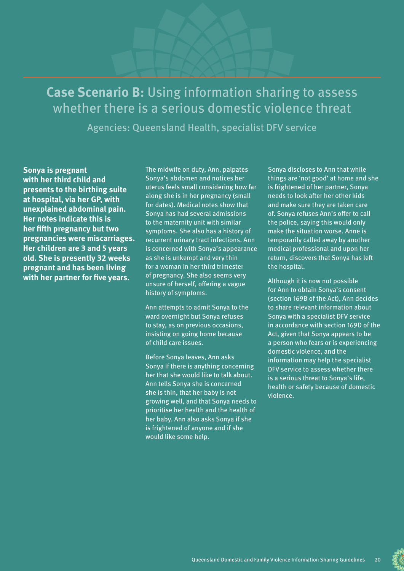# **Case Scenario B:** Using information sharing to assess whether there is a serious domestic violence threat

Agencies: Queensland Health, specialist DFV service

**Sonya is pregnant with her third child and presents to the birthing suite at hospital, via her GP, with unexplained abdominal pain. Her notes indicate this is her fifth pregnancy but two pregnancies were miscarriages. Her children are 3 and 5 years old. She is presently 32 weeks pregnant and has been living with her partner for five years.** 

The midwife on duty, Ann, palpates Sonya's abdomen and notices her uterus feels small considering how far along she is in her pregnancy (small for dates). Medical notes show that Sonya has had several admissions to the maternity unit with similar symptoms. She also has a history of recurrent urinary tract infections. Ann is concerned with Sonya's appearance as she is unkempt and very thin for a woman in her third trimester of pregnancy. She also seems very unsure of herself, offering a vague history of symptoms.

Ann attempts to admit Sonya to the ward overnight but Sonya refuses to stay, as on previous occasions, insisting on going home because of child care issues.

Before Sonya leaves, Ann asks Sonya if there is anything concerning her that she would like to talk about. Ann tells Sonya she is concerned she is thin, that her baby is not growing well, and that Sonya needs to prioritise her health and the health of her baby. Ann also asks Sonya if she is frightened of anyone and if she would like some help.

Sonya discloses to Ann that while things are 'not good' at home and she is frightened of her partner, Sonya needs to look after her other kids and make sure they are taken care of. Sonya refuses Ann's offer to call the police, saying this would only make the situation worse. Anne is temporarily called away by another medical professional and upon her return, discovers that Sonya has left the hospital.

Although it is now not possible for Ann to obtain Sonya's consent (section 169B of the Act), Ann decides to share relevant information about Sonya with a specialist DFV service in accordance with section 169D of the Act, given that Sonya appears to be a person who fears or is experiencing domestic violence, and the information may help the specialist DFV service to assess whether there is a serious threat to Sonya's life, health or safety because of domestic violence.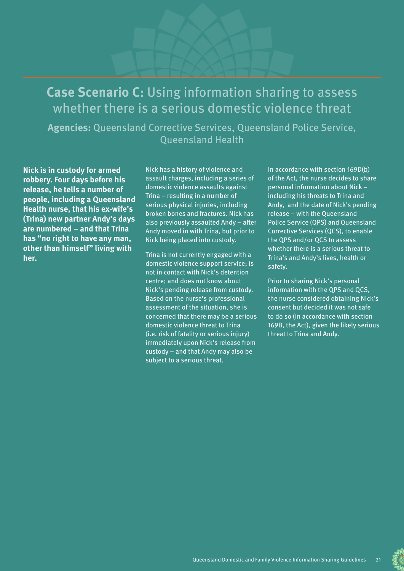# **Case Scenario C:** Using information sharing to assess whether there is a serious domestic violence threat

**Agencies:** Queensland Corrective Services, Queensland Police Service, Queensland Health

**Nick is in custody for armed robbery. Four days before his release, he tells a number of people, including a Queensland Health nurse, that his ex-wife's (Trina) new partner Andy's days are numbered – and that Trina has "no right to have any man, other than himself" living with her.** 

Nick has a history of violence and assault charges, including a series of domestic violence assaults against Trina – resulting in a number of serious physical injuries, including broken bones and fractures. Nick has also previously assaulted Andy – after Andy moved in with Trina, but prior to Nick being placed into custody.

Trina is not currently engaged with a domestic violence support service; is not in contact with Nick's detention centre; and does not know about Nick's pending release from custody. Based on the nurse's professional assessment of the situation, she is concerned that there may be a serious domestic violence threat to Trina (i.e. risk of fatality or serious injury) immediately upon Nick's release from custody – and that Andy may also be subject to a serious threat.

In accordance with section 169D(b) of the Act, the nurse decides to share personal information about Nick – including his threats to Trina and Andy, and the date of Nick's pending release – with the Queensland Police Service (QPS) and Queensland Corrective Services (QCS), to enable the QPS and/or QCS to assess whether there is a serious threat to Trina's and Andy's lives, health or safety.

Prior to sharing Nick's personal information with the QPS and QCS, the nurse considered obtaining Nick's consent but decided it was not safe to do so (in accordance with section 169B, the Act), given the likely serious threat to Trina and Andy.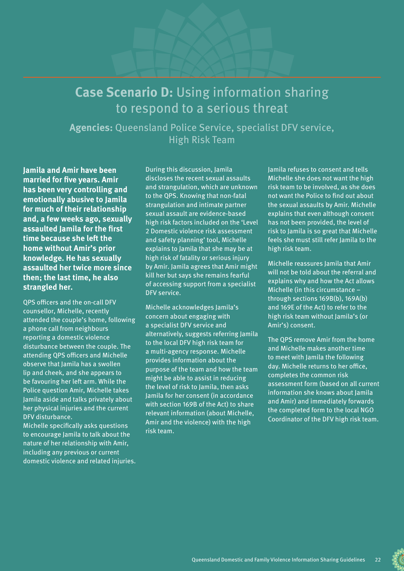# **Case Scenario D:** Using information sharing to respond to a serious threat

**Agencies:** Queensland Police Service, specialist DFV service, High Risk Team

**Jamila and Amir have been married for five years. Amir has been very controlling and emotionally abusive to Jamila for much of their relationship and, a few weeks ago, sexually assaulted Jamila for the first time because she left the home without Amir's prior knowledge. He has sexually assaulted her twice more since then; the last time, he also strangled her.** 

QPS officers and the on-call DFV counsellor, Michelle, recently attended the couple's home, following a phone call from neighbours reporting a domestic violence disturbance between the couple. The attending QPS officers and Michelle observe that Jamila has a swollen lip and cheek, and she appears to be favouring her left arm. While the Police question Amir, Michelle takes Jamila aside and talks privately about her physical injuries and the current DFV disturbance.

Michelle specifically asks questions to encourage Jamila to talk about the nature of her relationship with Amir, including any previous or current domestic violence and related injuries. During this discussion, Jamila discloses the recent sexual assaults and strangulation, which are unknown to the QPS. Knowing that non-fatal strangulation and intimate partner sexual assault are evidence-based high risk factors included on the 'Level 2 Domestic violence risk assessment and safety planning' tool, Michelle explains to Jamila that she may be at high risk of fatality or serious injury by Amir. Jamila agrees that Amir might kill her but says she remains fearful of accessing support from a specialist DFV service.

Michelle acknowledges Jamila's concern about engaging with a specialist DFV service and alternatively, suggests referring Jamila to the local DFV high risk team for a multi-agency response. Michelle provides information about the purpose of the team and how the team might be able to assist in reducing the level of risk to Jamila, then asks Jamila for her consent (in accordance with section 169B of the Act) to share relevant information (about Michelle, Amir and the violence) with the high risk team.

Jamila refuses to consent and tells Michelle she does not want the high risk team to be involved, as she does not want the Police to find out about the sexual assaults by Amir. Michelle explains that even although consent has not been provided, the level of risk to Jamila is so great that Michelle feels she must still refer Jamila to the high risk team.

Michelle reassures Jamila that Amir will not be told about the referral and explains why and how the Act allows Michelle (in this circumstance – through sections 169B(b), 169A(b) and 169E of the Act) to refer to the high risk team without Jamila's (or Amir's) consent.

The QPS remove Amir from the home and Michelle makes another time to meet with Jamila the following day. Michelle returns to her office, completes the common risk assessment form (based on all current information she knows about Jamila and Amir) and immediately forwards the completed form to the local NGO Coordinator of the DFV high risk team.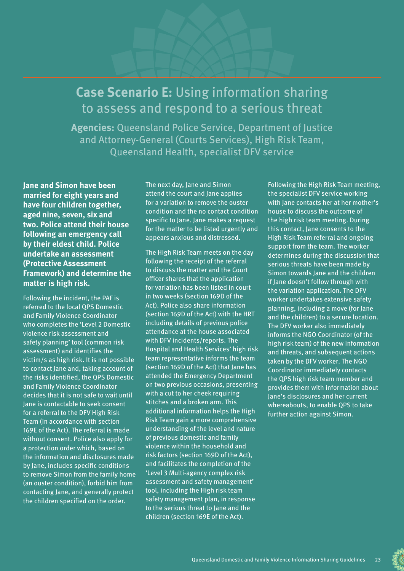# **Case Scenario E:** Using information sharing to assess and respond to a serious threat

**Agencies:** Queensland Police Service, Department of Justice and Attorney-General (Courts Services), High Risk Team, Queensland Health, specialist DFV service

**Jane and Simon have been married for eight years and have four children together, aged nine, seven, six and two. Police attend their house following an emergency call by their eldest child. Police undertake an assessment (Protective Assessment Framework) and determine the matter is high risk.** 

Following the incident, the PAF is referred to the local QPS Domestic and Family Violence Coordinator who completes the 'Level 2 Domestic violence risk assessment and safety planning' tool (common risk assessment) and identifies the victim/s as high risk. It is not possible to contact Jane and, taking account of the risks identified, the QPS Domestic and Family Violence Coordinator decides that it is not safe to wait until Jane is contactable to seek consent for a referral to the DFV High Risk Team (in accordance with section 169E of the Act). The referral is made without consent. Police also apply for a protection order which, based on the information and disclosures made by Jane, includes specific conditions to remove Simon from the family home (an ouster condition), forbid him from contacting Jane, and generally protect the children specified on the order.

The next day, Jane and Simon attend the court and Jane applies for a variation to remove the ouster condition and the no contact condition specific to Jane. Jane makes a request for the matter to be listed urgently and appears anxious and distressed.

The High Risk Team meets on the day following the receipt of the referral to discuss the matter and the Court officer shares that the application for variation has been listed in court in two weeks (section 169D of the Act). Police also share information (section 169D of the Act) with the HRT including details of previous police attendance at the house associated with DFV incidents/reports. The Hospital and Health Services' high risk team representative informs the team (section 169D of the Act) that Jane has attended the Emergency Department on two previous occasions, presenting with a cut to her cheek requiring stitches and a broken arm. This additional information helps the High Risk Team gain a more comprehensive understanding of the level and nature of previous domestic and family violence within the household and risk factors (section 169D of the Act), and facilitates the completion of the 'Level 3 Multi-agency complex risk assessment and safety management' tool, including the High risk team safety management plan, in response to the serious threat to Jane and the children (section 169E of the Act).

Following the High Risk Team meeting, the specialist DFV service working with Jane contacts her at her mother's house to discuss the outcome of the high risk team meeting. During this contact, Jane consents to the High Risk Team referral and ongoing support from the team. The worker determines during the discussion that serious threats have been made by Simon towards Jane and the children if Jane doesn't follow through with the variation application. The DFV worker undertakes extensive safety planning, including a move (for Jane and the children) to a secure location. The DFV worker also immediately informs the NGO Coordinator (of the high risk team) of the new information and threats, and subsequent actions taken by the DFV worker. The NGO Coordinator immediately contacts the QPS high risk team member and provides them with information about Jane's disclosures and her current whereabouts, to enable QPS to take further action against Simon.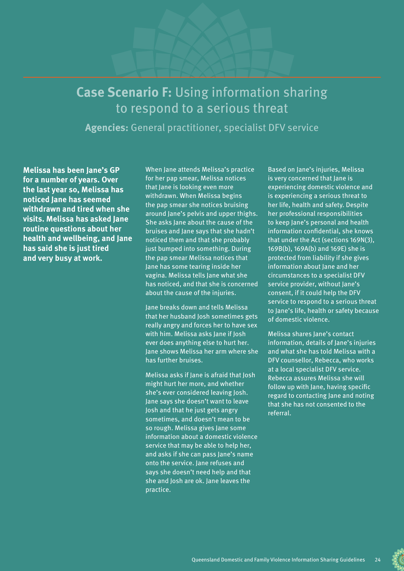# **Case Scenario F:** Using information sharing to respond to a serious threat

**Agencies:** General practitioner, specialist DFV service

**Melissa has been Jane's GP for a number of years. Over the last year so, Melissa has noticed Jane has seemed withdrawn and tired when she visits. Melissa has asked Jane routine questions about her health and wellbeing, and Jane has said she is just tired and very busy at work.**

When Jane attends Melissa's practice for her pap smear, Melissa notices that Jane is looking even more withdrawn. When Melissa begins the pap smear she notices bruising around Jane's pelvis and upper thighs. She asks Jane about the cause of the bruises and Jane says that she hadn't noticed them and that she probably just bumped into something. During the pap smear Melissa notices that Jane has some tearing inside her vagina. Melissa tells Jane what she has noticed, and that she is concerned about the cause of the injuries.

Jane breaks down and tells Melissa that her husband Josh sometimes gets really angry and forces her to have sex with him. Melissa asks Jane if Josh ever does anything else to hurt her. Jane shows Melissa her arm where she has further bruises.

Melissa asks if Jane is afraid that Josh might hurt her more, and whether she's ever considered leaving Josh. Jane says she doesn't want to leave Josh and that he just gets angry sometimes, and doesn't mean to be so rough. Melissa gives Jane some information about a domestic violence service that may be able to help her, and asks if she can pass Jane's name onto the service. Jane refuses and says she doesn't need help and that she and Josh are ok. Jane leaves the practice.

Based on Jane's injuries, Melissa is very concerned that Jane is experiencing domestic violence and is experiencing a serious threat to her life, health and safety. Despite her professional responsibilities to keep Jane's personal and health information confidential, she knows that under the Act (sections 169N(3), 169B(b), 169A(b) and 169E) she is protected from liability if she gives information about Jane and her circumstances to a specialist DFV service provider, without Jane's consent, if it could help the DFV service to respond to a serious threat to Jane's life, health or safety because of domestic violence.

Melissa shares Jane's contact information, details of lane's injuries and what she has told Melissa with a DFV counsellor, Rebecca, who works at a local specialist DFV service. Rebecca assures Melissa she will follow up with Jane, having specific regard to contacting Jane and noting that she has not consented to the referral.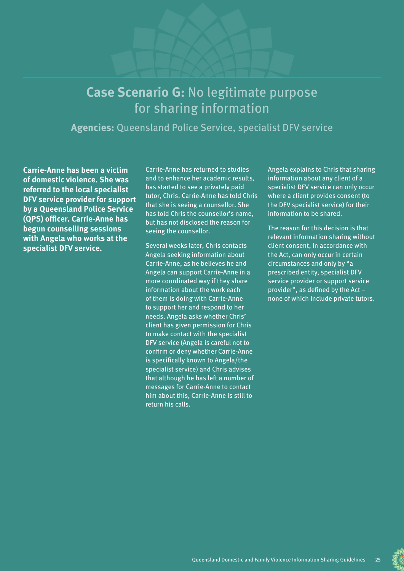# **Case Scenario G:** No legitimate purpose for sharing information

**Agencies:** Queensland Police Service, specialist DFV service

**Carrie-Anne has been a victim of domestic violence. She was referred to the local specialist DFV service provider for support by a Queensland Police Service (QPS) officer. Carrie-Anne has begun counselling sessions with Angela who works at the specialist DFV service.** 

Carrie-Anne has returned to studies and to enhance her academic results, has started to see a privately paid tutor, Chris. Carrie-Anne has told Chris that she is seeing a counsellor. She has told Chris the counsellor's name, but has not disclosed the reason for seeing the counsellor.

Several weeks later, Chris contacts Angela seeking information about Carrie-Anne, as he believes he and Angela can support Carrie-Anne in a more coordinated way if they share information about the work each of them is doing with Carrie-Anne to support her and respond to her needs. Angela asks whether Chris' client has given permission for Chris to make contact with the specialist DFV service (Angela is careful not to confirm or deny whether Carrie-Anne is specifically known to Angela/the specialist service) and Chris advises that although he has left a number of messages for Carrie-Anne to contact him about this, Carrie-Anne is still to return his calls.

Angela explains to Chris that sharing information about any client of a specialist DFV service can only occur where a client provides consent (to the DFV specialist service) for their information to be shared.

The reason for this decision is that relevant information sharing without client consent, in accordance with the Act, can only occur in certain circumstances and only by "a prescribed entity, specialist DFV service provider or support service provider", as defined by the Act – none of which include private tutors.